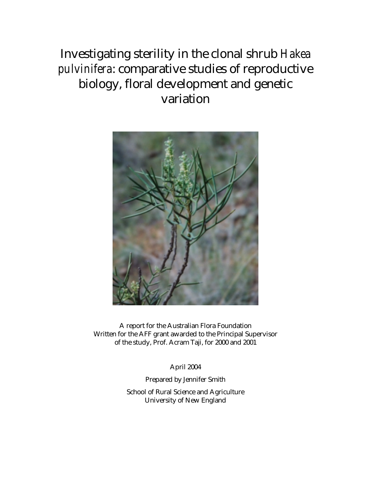Investigating sterility in the clonal shrub *Hakea pulvinifera*: comparative studies of reproductive biology, floral development and genetic variation



A report for the Australian Flora Foundation Written for the AFF grant awarded to the Principal Supervisor of the study, Prof. Acram Taji, for 2000 and 2001

April 2004

Prepared by Jennifer Smith

School of Rural Science and Agriculture University of New England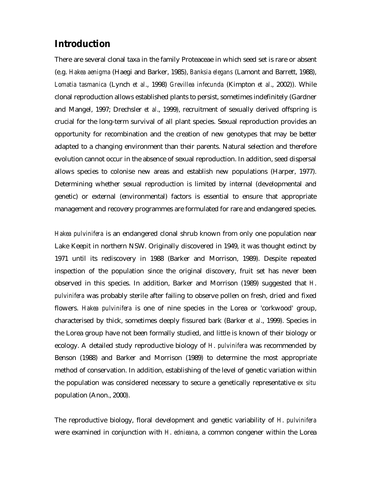# **Introduction**

There are several clonal taxa in the family Proteaceae in which seed set is rare or absent (e.g. *Hakea aenigma* (Haegi and Barker, 1985), *Banksia elegans* (Lamont and Barrett, 1988), *Lomatia tasmanica* (Lynch *et al*., 1998) *Grevillea infecunda* (Kimpton *et al*., 2002)). While clonal reproduction allows established plants to persist, sometimes indefinitely (Gardner and Mangel, 1997; Drechsler *et al*., 1999), recruitment of sexually derived offspring is crucial for the long-term survival of all plant species. Sexual reproduction provides an opportunity for recombination and the creation of new genotypes that may be better adapted to a changing environment than their parents. Natural selection and therefore evolution cannot occur in the absence of sexual reproduction. In addition, seed dispersal allows species to colonise new areas and establish new populations (Harper, 1977). Determining whether sexual reproduction is limited by internal (developmental and genetic) or external (environmental) factors is essential to ensure that appropriate management and recovery programmes are formulated for rare and endangered species.

*Hakea pulvinifera* is an endangered clonal shrub known from only one population near Lake Keepit in northern NSW. Originally discovered in 1949, it was thought extinct by 1971 until its rediscovery in 1988 (Barker and Morrison, 1989). Despite repeated inspection of the population since the original discovery, fruit set has never been observed in this species. In addition, Barker and Morrison (1989) suggested that *H*. *pulvinifera* was probably sterile after failing to observe pollen on fresh, dried and fixed flowers. *Hakea pulvinifera* is one of nine species in the Lorea or 'corkwood' group, characterised by thick, sometimes deeply fissured bark (Barker *et al*., 1999). Species in the Lorea group have not been formally studied, and little is known of their biology or ecology. A detailed study reproductive biology of *H*. *pulvinifera* was recommended by Benson (1988) and Barker and Morrison (1989) to determine the most appropriate method of conservation. In addition, establishing of the level of genetic variation within the population was considered necessary to secure a genetically representative *ex situ* population (Anon., 2000).

The reproductive biology, floral development and genetic variability of *H*. *pulvinifera* were examined in conjunction with *H*. *ednieana*, a common congener within the Lorea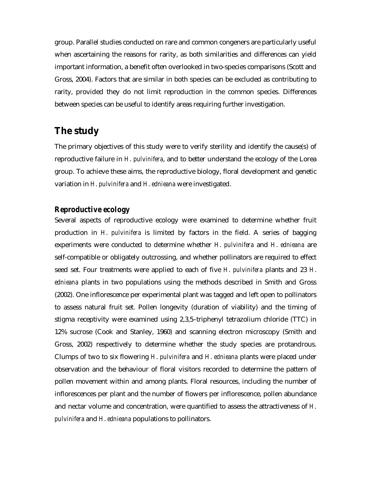group. Parallel studies conducted on rare and common congeners are particularly useful when ascertaining the reasons for rarity, as both similarities and differences can yield important information, a benefit often overlooked in two-species comparisons (Scott and Gross, 2004). Factors that are similar in both species can be excluded as contributing to rarity, provided they do not limit reproduction in the common species. Differences between species can be useful to identify areas requiring further investigation.

# **The study**

The primary objectives of this study were to verify sterility and identify the cause(s) of reproductive failure in *H*. *pulvinifera*, and to better understand the ecology of the Lorea group. To achieve these aims, the reproductive biology, floral development and genetic variation in *H*. *pulvinifera* and *H*. *ednieana* were investigated.

#### *Reproductive ecology*

Several aspects of reproductive ecology were examined to determine whether fruit production in *H*. *pulvinifera* is limited by factors in the field. A series of bagging experiments were conducted to determine whether *H*. *pulvinifera* and *H*. *ednieana* are self-compatible or obligately outcrossing, and whether pollinators are required to effect seed set. Four treatments were applied to each of five *H*. *pulvinifera* plants and 23 *H*. *ednieana* plants in two populations using the methods described in Smith and Gross (2002). One inflorescence per experimental plant was tagged and left open to pollinators to assess natural fruit set. Pollen longevity (duration of viability) and the timing of stigma receptivity were examined using 2,3,5–triphenyl tetrazolium chloride (TTC) in 12% sucrose (Cook and Stanley, 1960) and scanning electron microscopy (Smith and Gross, 2002) respectively to determine whether the study species are protandrous. Clumps of two to six flowering *H*. *pulvinifera* and *H*. *ednieana* plants were placed under observation and the behaviour of floral visitors recorded to determine the pattern of pollen movement within and among plants. Floral resources, including the number of inflorescences per plant and the number of flowers per inflorescence, pollen abundance and nectar volume and concentration, were quantified to assess the attractiveness of *H*. *pulvinifera* and *H*. *ednieana* populations to pollinators.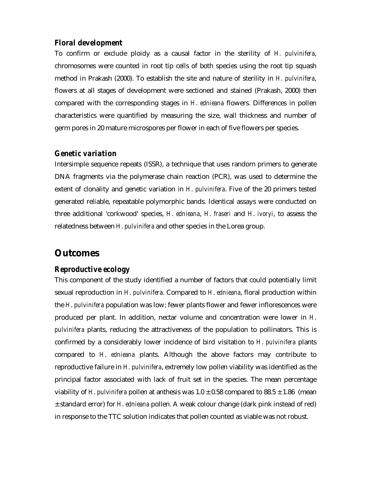### *Floral development*

To confirm or exclude ploidy as a causal factor in the sterility of *H. pulvinifera*, chromosomes were counted in root tip cells of both species using the root tip squash method in Prakash (2000). To establish the site and nature of sterility in *H. pulvinifera*, flowers at all stages of development were sectioned and stained (Prakash, 2000) then compared with the corresponding stages in *H*. *ednieana* flowers. Differences in pollen characteristics were quantified by measuring the size, wall thickness and number of germ pores in 20 mature microspores per flower in each of five flowers per species.

#### *Genetic variation*

Intersimple sequence repeats (ISSR), a technique that uses random primers to generate DNA fragments via the polymerase chain reaction (PCR), was used to determine the extent of clonality and genetic variation in *H*. *pulvinifera*. Five of the 20 primers tested generated reliable, repeatable polymorphic bands. Identical assays were conducted on three additional 'corkwood' species, *H*. *ednieana*, *H*. *fraseri* and *H*. *ivoryi*, to assess the relatedness between *H*. *pulvinifera* and other species in the Lorea group.

### **Outcomes**

#### *Reproductive ecology*

This component of the study identified a number of factors that could potentially limit sexual reproduction in *H*. *pulvinifera*. Compared to *H*. *ednieana*, floral production within the *H*. *pulvinifera* population was low; fewer plants flower and fewer inflorescences were produced per plant. In addition, nectar volume and concentration were lower in *H*. *pulvinifera* plants, reducing the attractiveness of the population to pollinators. This is confirmed by a considerably lower incidence of bird visitation to *H*. *pulvinifera* plants compared to *H*. *ednieana* plants. Although the above factors may contribute to reproductive failure in *H*. *pulvinifera*, extremely low pollen viability was identified as the principal factor associated with lack of fruit set in the species. The mean percentage viability of *H. pulvinifera* pollen at anthesis was  $1.0 \pm 0.58$  compared to  $88.5 \pm 1.86$  (mean ± standard error) for *H*. *ednieana* pollen. A weak colour change (dark pink instead of red) in response to the TTC solution indicates that pollen counted as viable was not robust.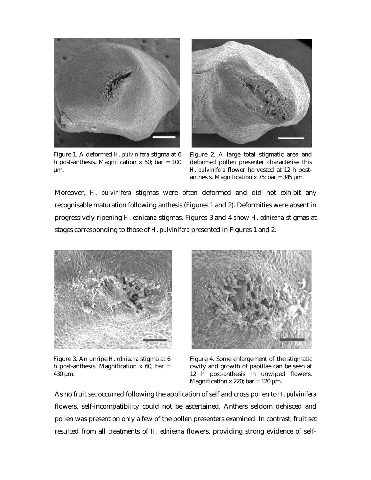

Figure 1. A deformed *H*. *pulvinifera* stigma at 6 h post-anthesis. Magnification  $x$  50; bar = 100 µm.



Figure 2. A large total stigmatic area and deformed pollen presenter characterise this *H*. *pulvinifera* flower harvested at 12 h postanthesis. Magnification x 75; bar =  $345 \mu m$ .

Moreover, *H*. *pulvinifera* stigmas were often deformed and did not exhibit any recognisable maturation following anthesis (Figures 1 and 2). Deformities were absent in progressively ripening *H*. *ednieana* stigmas. Figures 3 and 4 show *H*. *ednieana* stigmas at stages corresponding to those of *H*. *pulvinifera* presented in Figures 1 and 2.



Figure 3. An unripe *H*. *ednieana* stigma at 6 h post-anthesis. Magnification  $x$  60; bar = 430 µm.



Figure 4. Some enlargement of the stigmatic cavity and growth of papillae can be seen at 12 h post-anthesis in unwiped flowers. Magnification x 220; bar = 120  $\mu$ m.

As no fruit set occurred following the application of self and cross pollen to *H*. *pulvinifera* flowers, self-incompatibility could not be ascertained. Anthers seldom dehisced and pollen was present on only a few of the pollen presenters examined. In contrast, fruit set resulted from all treatments of *H*. *ednieana* flowers, providing strong evidence of self-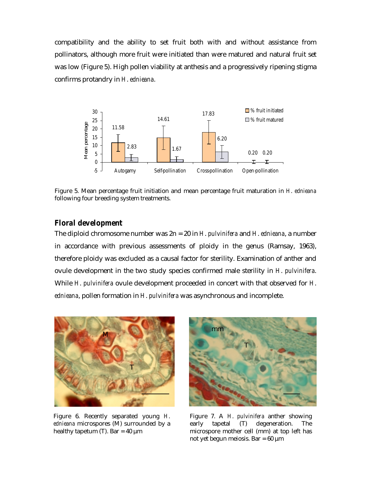compatibility and the ability to set fruit both with and without assistance from pollinators, although more fruit were initiated than were matured and natural fruit set was low (Figure 5). High pollen viability at anthesis and a progressively ripening stigma confirms protandry in *H*. *ednieana*.



Figure 5. Mean percentage fruit initiation and mean percentage fruit maturation in *H*. *ednieana* following four breeding system treatments.

#### *Floral development*

The diploid chromosome number was 2n = 20 in *H*. *pulvinifera* and *H*. *ednieana*, a number in accordance with previous assessments of ploidy in the genus (Ramsay, 1963), therefore ploidy was excluded as a causal factor for sterility. Examination of anther and ovule development in the two study species confirmed male sterility in *H*. *pulvinifera*. While *H*. *pulvinifera* ovule development proceeded in concert with that observed for *H*. *ednieana*, pollen formation in *H*. *pulvinifera* was asynchronous and incomplete.



Figure 6. Recently separated young *H*. *ednieana* microspores (M) surrounded by a healthy tapetum (T). Bar =  $40 \mu m$ 



Figure 7. A *H*. *pulvinifera* anther showing early tapetal (T) degeneration. The microspore mother cell (mm) at top left has not yet begun meiosis. Bar =  $60 \mu m$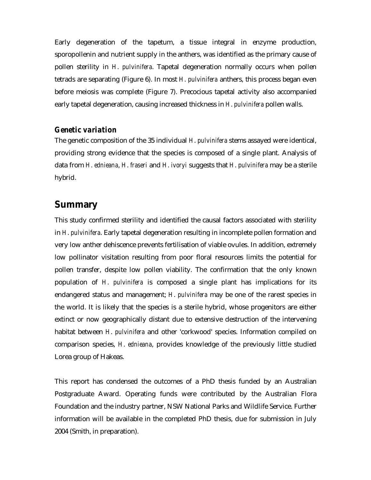Early degeneration of the tapetum, a tissue integral in enzyme production, sporopollenin and nutrient supply in the anthers, was identified as the primary cause of pollen sterility in *H*. *pulvinifera*. Tapetal degeneration normally occurs when pollen tetrads are separating (Figure 6). In most *H*. *pulvinifera* anthers, this process began even before meiosis was complete (Figure 7). Precocious tapetal activity also accompanied early tapetal degeneration, causing increased thickness in *H*. *pulvinifera* pollen walls.

#### *Genetic variation*

The genetic composition of the 35 individual *H*. *pulvinifera* stems assayed were identical, providing strong evidence that the species is composed of a single plant. Analysis of data from *H*. *ednieana*, *H*. *fraseri* and *H*. *ivoryi* suggests that *H*. *pulvinifera* may be a sterile hybrid.

### **Summary**

This study confirmed sterility and identified the causal factors associated with sterility in *H*. *pulvinifera*. Early tapetal degeneration resulting in incomplete pollen formation and very low anther dehiscence prevents fertilisation of viable ovules. In addition, extremely low pollinator visitation resulting from poor floral resources limits the potential for pollen transfer, despite low pollen viability. The confirmation that the only known population of *H*. *pulvinifera* is composed a single plant has implications for its endangered status and management; *H*. *pulvinifera* may be one of the rarest species in the world. It is likely that the species is a sterile hybrid, whose progenitors are either extinct or now geographically distant due to extensive destruction of the intervening habitat between *H*. *pulvinifera* and other 'corkwood' species. Information compiled on comparison species, *H*. *ednieana*, provides knowledge of the previously little studied Lorea group of Hakeas.

This report has condensed the outcomes of a PhD thesis funded by an Australian Postgraduate Award. Operating funds were contributed by the Australian Flora Foundation and the industry partner, NSW National Parks and Wildlife Service. Further information will be available in the completed PhD thesis, due for submission in July 2004 (Smith, in preparation).